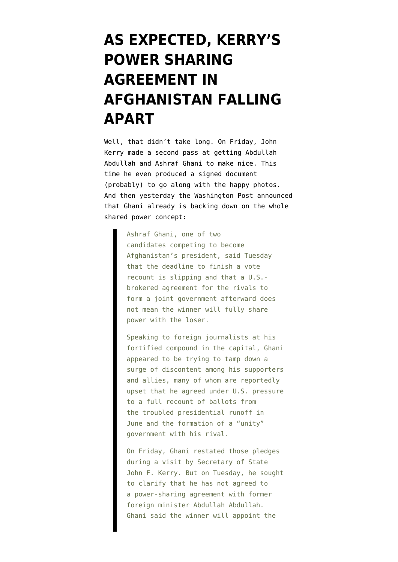## **[AS EXPECTED, KERRY'S](https://www.emptywheel.net/2014/08/13/as-expected-kerrys-power-sharing-agreement-in-afghanistan-falling-apart/) [POWER SHARING](https://www.emptywheel.net/2014/08/13/as-expected-kerrys-power-sharing-agreement-in-afghanistan-falling-apart/) [AGREEMENT IN](https://www.emptywheel.net/2014/08/13/as-expected-kerrys-power-sharing-agreement-in-afghanistan-falling-apart/) [AFGHANISTAN FALLING](https://www.emptywheel.net/2014/08/13/as-expected-kerrys-power-sharing-agreement-in-afghanistan-falling-apart/) [APART](https://www.emptywheel.net/2014/08/13/as-expected-kerrys-power-sharing-agreement-in-afghanistan-falling-apart/)**

Well, that didn't take long. On Friday, John Kerry made a second pass at getting Abdullah Abdullah and Ashraf Ghani to make nice. This time he even produced a signed document ([probably\)](http://www.nytimes.com/2014/08/09/world/asia/afghan-presidential-rivals-agree-to-sign-a-deal.html) to go along with the happy photos. And then yesterday the Washington Post announced that [Ghani already is backing down on the whole](http://www.washingtonpost.com/world/asia_pacific/ashraf-ghani-rejects-sharing-power-if-he-wins-afghan-presidential-recount/2014/08/12/cbf1f668-2221-11e4-8b10-7db129976abb_story.html) [shared power concept](http://www.washingtonpost.com/world/asia_pacific/ashraf-ghani-rejects-sharing-power-if-he-wins-afghan-presidential-recount/2014/08/12/cbf1f668-2221-11e4-8b10-7db129976abb_story.html):

> Ashraf Ghani, one of two candidates competing to become Afghanistan's president, said Tuesday that the deadline to finish a vote recount is slipping and that a U.S. brokered agreement for the rivals to form a joint government afterward does not mean the winner will fully share power with the loser.

Speaking to foreign journalists at his fortified compound in the capital, Ghani appeared to be trying to tamp down a surge of discontent among his supporters and allies, many of whom are reportedly upset that he agreed under U.S. pressure to a full recount of ballots from the troubled presidential runoff in June and the formation of a "unity" government with his rival.

On Friday, Ghani restated those pledges during a visit by Secretary of State John F. Kerry. But on Tuesday, he sought to clarify that he has not agreed to a power-sharing agreement with former foreign minister Abdullah Abdullah. Ghani said the winner will appoint the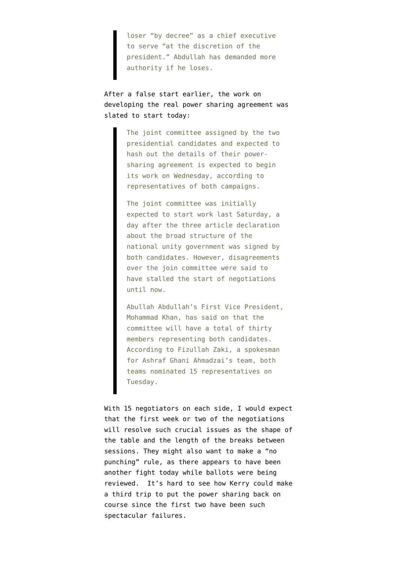loser "by decree" as a chief executive to serve "at the discretion of the president." Abdullah has demanded more authority if he loses.

After a false start earlier, the work on [developing the real power sharing agreement was](http://www.tolonews.com/en/afghanistan/15935-candidates-joint-committee-to-begin-work-on-wednesday) [slated to start today](http://www.tolonews.com/en/afghanistan/15935-candidates-joint-committee-to-begin-work-on-wednesday):

> The joint committee assigned by the two presidential candidates and expected to hash out the details of their powersharing agreement is expected to begin its work on Wednesday, according to representatives of both campaigns.

> The joint committee was initially expected to start work last Saturday, a day after the three article declaration about the broad structure of the national unity government was signed by both candidates. However, disagreements over the join committee were said to have stalled the start of negotiations until now.

Abullah Abdullah's First Vice President, Mohammad Khan, has said on that the committee will have a total of thirty members representing both candidates. According to Fizullah Zaki, a spokesman for Ashraf Ghani Ahmadzai's team, both teams nominated 15 representatives on Tuesday.

With 15 negotiators on each side, I would expect that the first week or two of the negotiations will resolve such crucial issues as the shape of the table and the length of the breaks between sessions. They might also want to make a "no punching" rule, as there appears to have been [another fight today while ballots were being](http://www.khaama.com/physical-clash-reported-among-abdullah-and-ghani-observers-8432) [reviewed.](http://www.khaama.com/physical-clash-reported-among-abdullah-and-ghani-observers-8432) It's hard to see how Kerry could make a third trip to put the power sharing back on course since the first two have been such spectacular failures.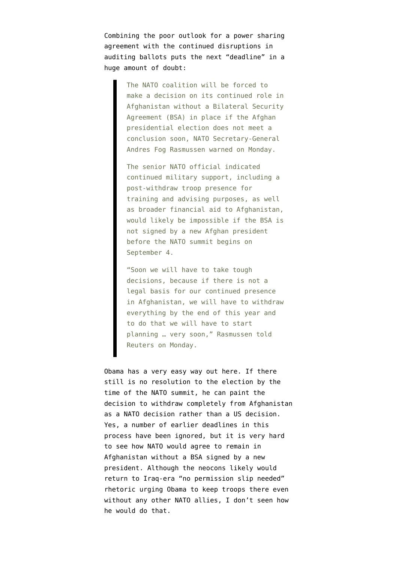Combining the poor outlook for a power sharing agreement with the continued disruptions in auditing ballots puts the next "[deadline"](http://www.tolonews.com/en/afghanistan/15928-nato-says-future-role-depends-on-election-ending-soon-) in a huge amount of doubt:

> The NATO coalition will be forced to make a decision on its continued role in Afghanistan without a Bilateral Security Agreement (BSA) in place if the Afghan presidential election does not meet a conclusion soon, NATO Secretary-General Andres Fog Rasmussen warned on Monday.

> The senior NATO official indicated continued military support, including a post-withdraw troop presence for training and advising purposes, as well as broader financial aid to Afghanistan, would likely be impossible if the BSA is not signed by a new Afghan president before the NATO summit begins on September 4.

> "Soon we will have to take tough decisions, because if there is not a legal basis for our continued presence in Afghanistan, we will have to withdraw everything by the end of this year and to do that we will have to start planning … very soon," Rasmussen told Reuters on Monday.

Obama has a very easy way out here. If there still is no resolution to the election by the time of the NATO summit, he can paint the decision to withdraw completely from Afghanistan as a NATO decision rather than a US decision. Yes, a number of earlier deadlines in this process have been ignored, but it is very hard to see how NATO would agree to remain in Afghanistan without a BSA signed by a new president. Although the neocons likely would return to Iraq-era "no permission slip needed" rhetoric urging Obama to keep troops there even without any other NATO allies, I don't seen how he would do that.